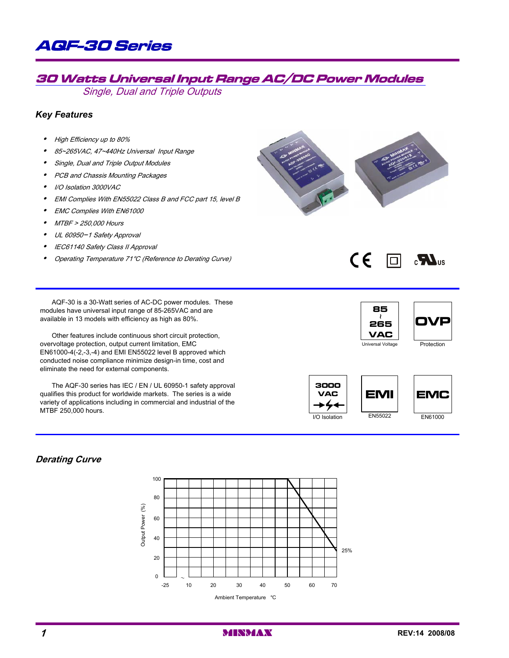

# 30 Watts Universal Input Range AC/DC Power Modules

Single, Dual and Triple Outputs

## *Key Features*

- High Efficiency up to 80%
- $\bullet$ 85~265VAC, 47~440Hz Universal Input Range
- $\bullet$ Single, Dual and Triple Output Modules
- PCB and Chassis Mounting Packages
- $\bullet$ I/O Isolation 3000VAC
- $\bullet$ EMI Complies With EN55022 Class B and FCC part 15, level B
- $\bullet$ EMC Complies With EN61000
- y MTBF > 250,000 Hours
- $\bullet$ UL 60950-1 Safety Approval
- $\bullet$ IEC61140 Safety Class II Approval
- $\bullet$ Operating Temperature 71°C (Reference to Derating Curve)

CE 同  $\mathbf{c}$ 

AQF-30 is a 30-Watt series of AC-DC power modules. These modules have universal input range of 85-265VAC and are available in 13 models with efficiency as high as 80%.

Other features include continuous short circuit protection, overvoltage protection, output current limitation, EMC EN61000-4(-2,-3,-4) and EMI EN55022 level B approved which conducted noise compliance minimize design-in time, cost and eliminate the need for external components.

The AQF-30 series has IEC / EN / UL 60950-1 safety approval qualifies this product for worldwide markets. The series is a wide variety of applications including in commercial and industrial of the MTBF 250,000 hours.











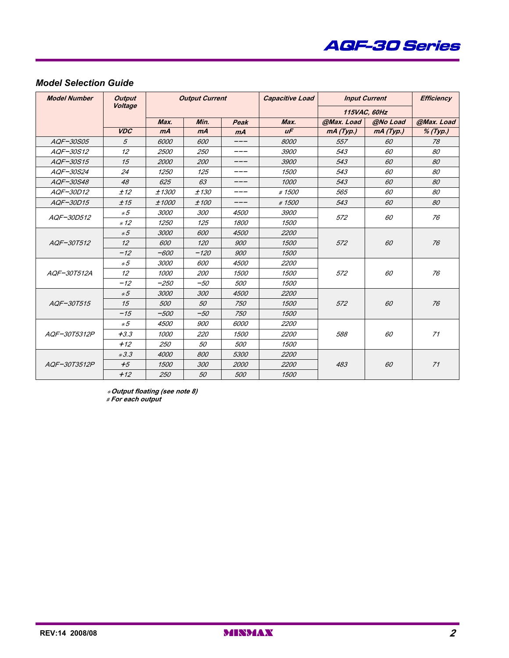

## *Model Selection Guide*

| <b>Model Number</b> | <b>Output</b><br>Voltage | <b>Output Current</b> |        | <b>Capacitive Load</b> |             | <b>Input Current</b> |              |             |
|---------------------|--------------------------|-----------------------|--------|------------------------|-------------|----------------------|--------------|-------------|
|                     |                          |                       |        |                        |             |                      | 115VAC, 60Hz |             |
|                     |                          | Max.                  | Min.   | Peak                   | Max.        | @Max. Load           | @No Load     | @Max. Load  |
|                     | <b>VDC</b>               | mA                    | mA     | mA                     | $U\sqrt{F}$ | mA(Typ.)             | mA(Typ.)     | $\%$ (Typ.) |
| AQF-30S05           | 5                        | 6000                  | 600    |                        | 8000        | 557                  | 60           | 78          |
| AQF-30S12           | 12                       | 2500                  | 250    |                        | 3900        | 543                  | 60           | 80          |
| AQF-30S15           | 15                       | 2000                  | 200    | ___                    | 3900        | 543                  | 60           | 80          |
| AQF-30S24           | 24                       | 1250                  | 125    |                        | 1500        | 543                  | 60           | 80          |
| AQF-30S48           | 48                       | 625                   | 63     | ___                    | 1000        | 543                  | 60           | 80          |
| AQF-30D12           | ±12                      | ±1300                 | ±130   |                        | #1500       | 565                  | 60           | 80          |
| AQF-30D15           | ±15                      | ±1000                 | ±100   | ___                    | #1500       | 543                  | 60           | 80          |
| AOF-30D512          | $*5$                     | 3000                  | 300    | 4500                   | <i>3900</i> | 572                  | 60           | 76          |
|                     | $*12$                    | 1250                  | 125    | 1800                   | 1500        |                      |              |             |
|                     | $*5$                     | 3000                  | 600    | 4500                   | 2200        |                      |              |             |
| AOF-30T512          | 12                       | 600                   | 120    | 900                    | 1500        | 572                  | 60           | 76          |
|                     | $-12$                    | $-600$                | $-120$ | 900                    | 1500        |                      |              |             |
|                     | $*5$                     | 3000                  | 600    | 4500                   | 2200        |                      |              |             |
| AQF-30T512A         | 12                       | 1000                  | 200    | 1500                   | 1500        | 572                  | 60           | 76          |
|                     | $-12$                    | $-250$                | $-50$  | 500                    | 1500        |                      |              |             |
|                     | $*5$                     | 3000                  | 300    | 4500                   | 2200        |                      |              |             |
| AQF-30T515          | 15                       | 500                   | 50     | 750                    | 1500        | 572                  | 60           | 76          |
|                     | $-15$                    | $-500$                | $-50$  | 750                    | 1500        |                      |              |             |
|                     | $*5$                     | 4500                  | 900    | 6000                   | <i>2200</i> |                      |              |             |
| AOF-30T5312P        | $+3.3$                   | <i>1000</i>           | 220    | 1500                   | 2200        | 588                  | 60           | 71          |
|                     | $+12$                    | 250                   | 50     | <i>500</i>             | 1500        |                      |              |             |
|                     | $*3.3$                   | 4000                  | 800    | 5300                   | 2200        |                      |              |             |
| AQF-30T3512P        | $+5$                     | 1500                  | 300    | 2000                   | 2200        | 483                  | 60           | 71          |
|                     | $+12$                    | 250                   | 50     | 500                    | 1500        |                      |              |             |

\***Output floating (see note 8)** # **For each output**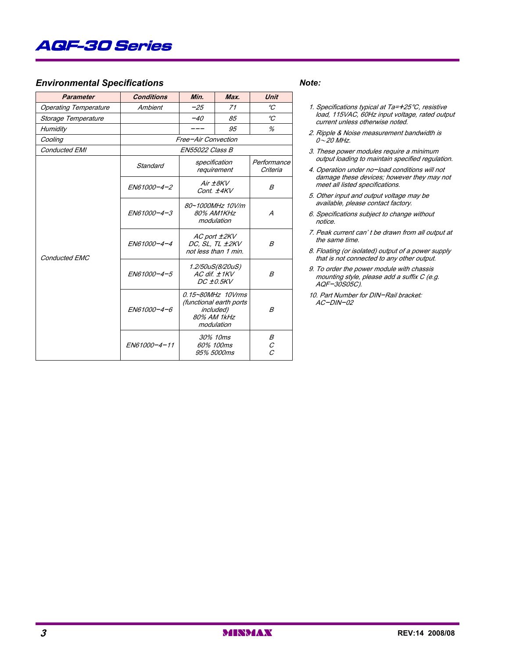# AQF-30 Series

## *Environmental Specifications Note:*

| <b>Parameter</b>             | <b>Conditions</b>   | Min.                                                    | Max.                                                                                   | <b>Unit</b>                     |
|------------------------------|---------------------|---------------------------------------------------------|----------------------------------------------------------------------------------------|---------------------------------|
| <b>Operating Temperature</b> | Ambient             | $-25$                                                   | 71                                                                                     | $\mathcal{C}$                   |
| Storage Temperature          |                     | $-40$                                                   | 85                                                                                     | $\mathcal{C}$                   |
| Humidity                     |                     | ---                                                     | 95                                                                                     | %                               |
| Cooling                      | Free-Air Convection |                                                         |                                                                                        |                                 |
| <b>Conducted EMI</b>         |                     | EN55022 Class B                                         |                                                                                        |                                 |
|                              | Standard            | specification                                           | requirement                                                                            | Performance<br>Criteria         |
|                              | EN61000-4-2         |                                                         | Air $\pm$ 8KV<br>Cont. ±4KV                                                            | B                               |
|                              | EN61000-4-3         | 80~1000MHz 10V/m<br>80% AM1KHz<br>modulation            |                                                                                        | A                               |
| <b>Conducted EMC</b>         | EN61000-4-4         | AC port ±2KV<br>DC, SL, TL ±2KV<br>not less than 1 min. | B                                                                                      |                                 |
|                              | EN61000-4-5         | 1.2/50uS(8/20uS)<br>$AC$ dif. $±1KV$<br>DC 10.5KV       |                                                                                        | B                               |
|                              | EN61000-4-6         |                                                         | 0.15~80MHz 10Vrms<br>(functional earth ports<br>included)<br>80% AM 1kHz<br>modulation | B                               |
|                              | EN61000-4-11        | 30% 10ms<br>60% 100ms<br>95% 5000ms                     |                                                                                        | Β<br>$\cal C$<br>$\overline{c}$ |

- 1. Specifications typical at Ta=+25°C, resistive load, 115VAC, 60Hz input voltage, rated output current unless otherwise noted.
- 2. Ripple & Noise measurement bandwidth is  $0\sim$  20 MHz.
- 3. These power modules require a minimum output loading to maintain specified regulation.
- 4. Operation under no-load conditions will not damage these devices; however they may not meet all listed specifications.
- 5. Other input and output voltage may be available, please contact factory.
- 6. Specifications subject to change without notice.
- 7. Peak current can' t be drawn from all output at the same time.
- 8. Floating (or isolated) output of a power supply that is not connected to any other output.
- 9. To order the power module with chassis mounting style, please add a suffix C (e.g. AQF-30S05C).
- 10. Part Number for DIN-Rail bracket: AC-DIN-02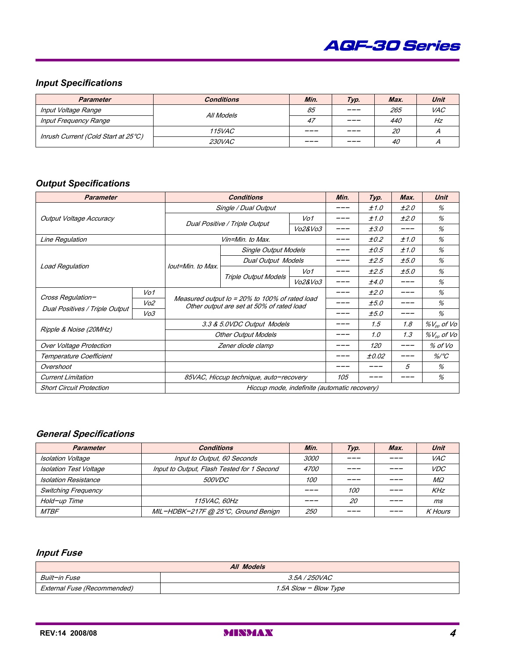

# *Input Specifications*

| <b>Parameter</b>                    | <b>Conditions</b> | Min. | Typ.    | Max.      | Unit       |
|-------------------------------------|-------------------|------|---------|-----------|------------|
| Input Voltage Range                 | All Models        | 85   | $- - -$ | 265       | <b>VAC</b> |
| <b>Input Frequency Range</b>        |                   | 47   | $  -$   | 440       | Hz         |
|                                     | <i>115VAC</i>     | ___  | ———     | <i>20</i> |            |
| Inrush Current (Cold Start at 25°C) | <i>230VAC</i>     | ___  | $- - -$ | 40        |            |

## *Output Specifications*

| <b>Parameter</b>                |           |                                                                                             | Min.                          | Typ.    | Max. | Unit  |      |                        |
|---------------------------------|-----------|---------------------------------------------------------------------------------------------|-------------------------------|---------|------|-------|------|------------------------|
|                                 |           | Single / Dual Output                                                                        |                               | ±1.0    | ±2.0 | %     |      |                        |
| Output Voltage Accuracy         |           |                                                                                             | Dual Positive / Triple Output | Vo1     |      | ±1.0  | ±2.0 | %                      |
|                                 |           |                                                                                             |                               | Vo2&Vo3 |      | ±3.0  | ___  | %                      |
| Line Regulation                 |           |                                                                                             | Vin=Min. to Max.              |         |      | ±0.2  | ±1.0 | %                      |
|                                 |           |                                                                                             | <b>Single Output Models</b>   |         |      | ±0.5  | ±1.0 | %                      |
|                                 |           | lout=Min. to Max.                                                                           | <b>Dual Output Models</b>     |         |      | ±2.5  | ±5.0 | %                      |
| <b>Load Regulation</b>          |           |                                                                                             | Triple Output Models          | Vo1     |      | ±2.5  | ±5.0 | %                      |
|                                 |           |                                                                                             |                               | Vo2&Vo3 |      | ±4.0  | ___  | %                      |
| Cross Regulation-               | Vo1       | Measured output Io = 20% to 100% of rated load<br>Other output are set at 50% of rated load |                               |         |      | ±2.0  | ---  | %                      |
|                                 | $V$ o $2$ |                                                                                             |                               |         |      | ±5.0  |      | %                      |
| Dual Positives / Triple Output  | Vo3       |                                                                                             |                               |         |      | ±5.0  | ___  | %                      |
| Ripple & Noise (20MHz)          |           | 3.3 & 5.0VDC Output Models                                                                  |                               |         |      | 1.5   | 1.8  | $\%V_{\rho\rho}$ of Vo |
|                                 |           |                                                                                             | <b>Other Output Models</b>    |         |      | 1.0   | 1.3  | $\%V_{op}$ of Vo       |
| <b>Over Voltage Protection</b>  |           | Zener diode clamp                                                                           |                               |         |      | 120   | ___  | % of Vo                |
| Temperature Coefficient         |           |                                                                                             |                               |         |      | ±0.02 |      | $\%$ /°C               |
| Overshoot                       |           |                                                                                             |                               |         |      |       | 5    | %                      |
| <b>Current Limitation</b>       |           | 85VAC, Hiccup technique, auto-recovery                                                      |                               |         | 105  |       |      | %                      |
| <b>Short Circuit Protection</b> |           | Hiccup mode, indefinite (automatic recovery)                                                |                               |         |      |       |      |                        |

## **General Specifications**

| <b>Parameter</b>              | <b>Conditions</b>                          | Min.        | Typ. | Max. | Unit           |
|-------------------------------|--------------------------------------------|-------------|------|------|----------------|
| <b>Isolation Voltage</b>      | Input to Output, 60 Seconds                | <i>3000</i> |      |      | <i>VAC</i>     |
| <b>Isolation Test Voltage</b> | Input to Output, Flash Tested for 1 Second | <i>4700</i> |      |      | <i>VDC</i>     |
| <b>Isolation Resistance</b>   | <i>500VDC</i>                              | <i>100</i>  |      |      | $M\Omega$      |
| <b>Switching Frequency</b>    |                                            |             | 100  |      | KHz            |
| Hold-up Time                  | <i><b>115VAC. 60Hz</b></i>                 |             | 20   |      | ms             |
| <b>MTBF</b>                   | MIL-HDBK-217F @ 25°C, Ground Benign        | <i>250</i>  |      |      | <b>K</b> Hours |

## **Input Fuse**

| All Models                  |                       |  |  |  |
|-----------------------------|-----------------------|--|--|--|
| Built-in Fuse               | <i>3.5A / 250VAC</i>  |  |  |  |
| External Fuse (Recommended) | 1.5A Slow - Blow Type |  |  |  |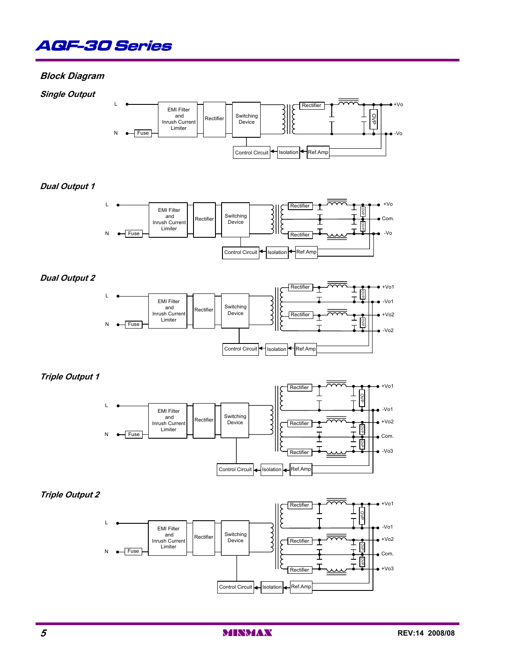

## **Block Diagram**

**Single Output**



## **Dual Output 1**



### **Dual Output 2**



## **Triple Output 1**



### **Triple Output 2**

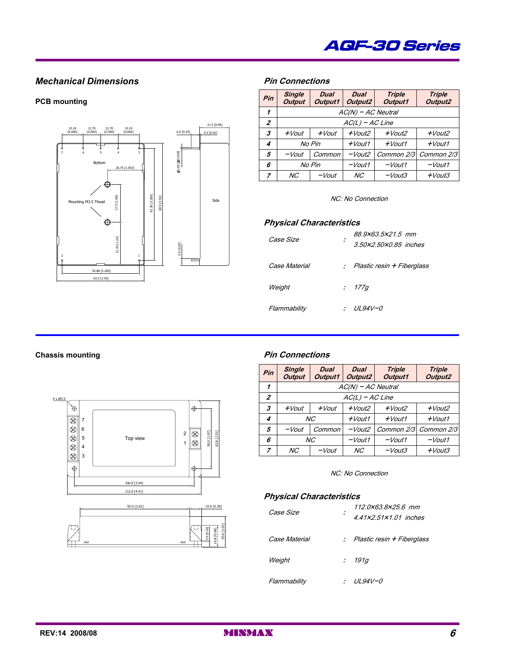

## **Mechanical Dimensions Pin Connections**

#### **PCB** mounting



| Pin              | <b>Single</b><br><b>Output</b> | <b>Dual</b><br><b>Output1</b> | <b>Dual</b><br>Output2 | <b>Triple</b><br><b>Output1</b> | <b>Triple</b><br>Output2 |  |  |
|------------------|--------------------------------|-------------------------------|------------------------|---------------------------------|--------------------------|--|--|
| 1                | $AC(N)$ – AC Neutral           |                               |                        |                                 |                          |  |  |
| $\boldsymbol{z}$ | $AC(L) - AC Line$              |                               |                        |                                 |                          |  |  |
| 3                | $+$ <i>Vout</i>                | $+$ <i>Vout</i>               | $+$ <i>Vout2</i>       | $+$ <i>Vout2</i>                | $+$ <i>Vout2</i>         |  |  |
| 4                | No Pin                         |                               | $+$ <i>Vout1</i>       | $+$ <i>Vout1</i>                | $+$ <i>Vout1</i>         |  |  |
| 5                | $-Vout$                        | Common                        |                        | Common 2/3                      | Common 2/3               |  |  |
| 6                | No Pin                         |                               | $-Vout1$               | $-Vout1$                        | $-Vout1$                 |  |  |
| 7                | NC <sup></sup>                 | $-Vout$                       | NС                     | $-Vout3$                        | $+$ <i>Vout3</i>         |  |  |

#### NC: No Connection

#### **Physical Characteristics**

| <i>Case Size</i> | ÷ | 88.9×63.5×21.5 mm<br>3.50x2.50x0.85 inches |
|------------------|---|--------------------------------------------|
| Case Material    |   | : Plastic resin + Fiberglass               |
| Weight           |   | : 177q                                     |
| Flammability     |   | UL94V-0                                    |





### **Chassis mounting Pin Connections**

| Pin            | <b>Single</b><br><b>Output</b> | <b>Dual</b><br>Output1 | <b>Dual</b><br>Output2 | <b>Triple</b><br>Output1 | <b>Triple</b><br>Output2 |  |  |
|----------------|--------------------------------|------------------------|------------------------|--------------------------|--------------------------|--|--|
| 1              | $AC(N)$ – AC Neutral           |                        |                        |                          |                          |  |  |
| $\overline{z}$ | $AC(L) - AC Line$              |                        |                        |                          |                          |  |  |
| 3              | $+$ <i>Vout</i>                | $+$ <i>Vout</i>        | $+$ <i>Vout2</i>       | $+$ <i>Vout2</i>         | $+$ <i>Vout2</i>         |  |  |
| 4              | NC <sub></sub>                 |                        | $+$ <i>Vout1</i>       | $+$ <i>Vout1</i>         | $+$ <i>Vout1</i>         |  |  |
| 5              | Common<br>$-Vout$              |                        | $-Vout2$               | Common 2/3               | Common 2/3               |  |  |
| 6              | NC <sub></sub>                 |                        | $-Vout1$               | $-Vout1$                 | $-V$ out1                |  |  |
| 7              | NC <sub></sub>                 | -Vout                  | NC <sub></sub>         | $-Vout3$                 | $+$ <i>Vout3</i>         |  |  |

#### NC: No Connection

#### **Physical Characteristics**

| <i>Case Size</i> | 112.0x63.8x25.6 mm<br>4.41x2.51x1.01 inches |
|------------------|---------------------------------------------|
| Case Material    | : Plastic resin + Fiberglass                |
| Weight           | : 191q                                      |
| Flammability     | <i>UL94V-0</i>                              |